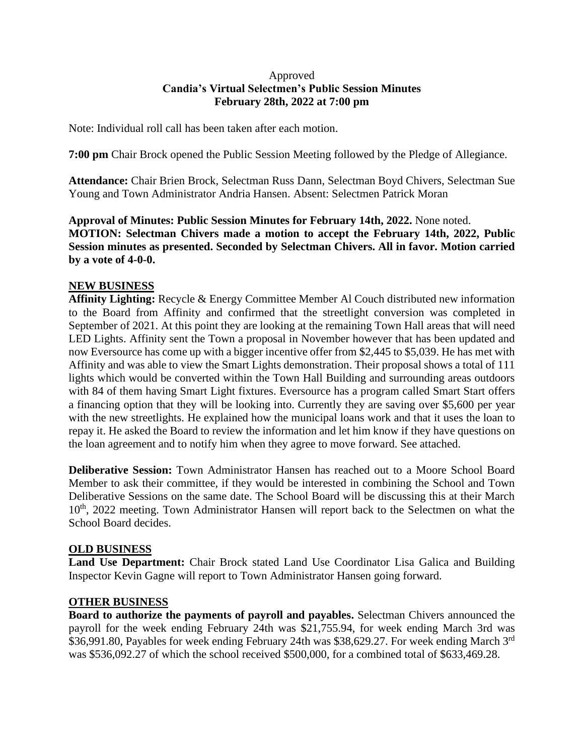## Approved **Candia's Virtual Selectmen's Public Session Minutes February 28th, 2022 at 7:00 pm**

Note: Individual roll call has been taken after each motion.

**7:00 pm** Chair Brock opened the Public Session Meeting followed by the Pledge of Allegiance.

**Attendance:** Chair Brien Brock, Selectman Russ Dann, Selectman Boyd Chivers, Selectman Sue Young and Town Administrator Andria Hansen. Absent: Selectmen Patrick Moran

**Approval of Minutes: Public Session Minutes for February 14th, 2022.** None noted. **MOTION: Selectman Chivers made a motion to accept the February 14th, 2022, Public Session minutes as presented. Seconded by Selectman Chivers. All in favor. Motion carried by a vote of 4-0-0.**

# **NEW BUSINESS**

**Affinity Lighting:** Recycle & Energy Committee Member Al Couch distributed new information to the Board from Affinity and confirmed that the streetlight conversion was completed in September of 2021. At this point they are looking at the remaining Town Hall areas that will need LED Lights. Affinity sent the Town a proposal in November however that has been updated and now Eversource has come up with a bigger incentive offer from \$2,445 to \$5,039. He has met with Affinity and was able to view the Smart Lights demonstration. Their proposal shows a total of 111 lights which would be converted within the Town Hall Building and surrounding areas outdoors with 84 of them having Smart Light fixtures. Eversource has a program called Smart Start offers a financing option that they will be looking into. Currently they are saving over \$5,600 per year with the new streetlights. He explained how the municipal loans work and that it uses the loan to repay it. He asked the Board to review the information and let him know if they have questions on the loan agreement and to notify him when they agree to move forward. See attached.

**Deliberative Session:** Town Administrator Hansen has reached out to a Moore School Board Member to ask their committee, if they would be interested in combining the School and Town Deliberative Sessions on the same date. The School Board will be discussing this at their March 10<sup>th</sup>, 2022 meeting. Town Administrator Hansen will report back to the Selectmen on what the School Board decides.

#### **OLD BUSINESS**

Land Use Department: Chair Brock stated Land Use Coordinator Lisa Galica and Building Inspector Kevin Gagne will report to Town Administrator Hansen going forward.

#### **OTHER BUSINESS**

**Board to authorize the payments of payroll and payables.** Selectman Chivers announced the payroll for the week ending February 24th was \$21,755.94, for week ending March 3rd was \$36,991.80, Payables for week ending February 24th was \$38,629.27. For week ending March 3<sup>rd</sup> was \$536,092.27 of which the school received \$500,000, for a combined total of \$633,469.28.